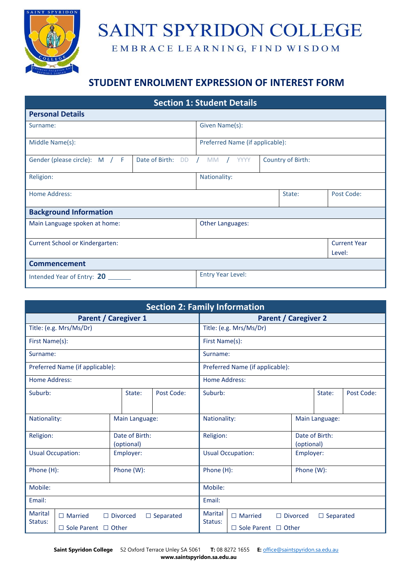

## SAINT SPYRIDON COLLEGE

EMBRACE LEARNING, FIND WISDOM

## **STUDENT ENROLMENT EXPRESSION OF INTEREST FORM**

| <b>Section 1: Student Details</b>                            |                          |                                 |                   |            |                     |
|--------------------------------------------------------------|--------------------------|---------------------------------|-------------------|------------|---------------------|
| <b>Personal Details</b>                                      |                          |                                 |                   |            |                     |
| Surname:                                                     | Given Name(s):           |                                 |                   |            |                     |
| Middle Name(s):                                              |                          | Preferred Name (if applicable): |                   |            |                     |
| Date of Birth:<br>Gender (please circle): M / F<br><b>DD</b> |                          | <b>YYYY</b><br><b>MM</b>        | Country of Birth: |            |                     |
| Religion:                                                    | Nationality:             |                                 |                   |            |                     |
| <b>Home Address:</b>                                         | State:                   |                                 |                   | Post Code: |                     |
| <b>Background Information</b>                                |                          |                                 |                   |            |                     |
| Main Language spoken at home:                                | Other Languages:         |                                 |                   |            |                     |
| Current School or Kindergarten:                              |                          |                                 |                   |            | <b>Current Year</b> |
|                                                              |                          |                                 |                   |            | Level:              |
| <b>Commencement</b>                                          |                          |                                 |                   |            |                     |
| Intended Year of Entry: 20                                   | <b>Entry Year Level:</b> |                                 |                   |            |                     |

| <b>Section 2: Family Information</b>                             |                                       |                           |                                                       |                                 |                              |                |  |  |
|------------------------------------------------------------------|---------------------------------------|---------------------------|-------------------------------------------------------|---------------------------------|------------------------------|----------------|--|--|
| <b>Parent / Caregiver 1</b>                                      |                                       |                           |                                                       | <b>Parent / Caregiver 2</b>     |                              |                |  |  |
| Title: (e.g. Mrs/Ms/Dr)                                          |                                       |                           | Title: (e.g. Mrs/Ms/Dr)                               |                                 |                              |                |  |  |
| First Name(s):                                                   |                                       |                           |                                                       | First Name(s):                  |                              |                |  |  |
| Surname:                                                         |                                       |                           | Surname:                                              |                                 |                              |                |  |  |
| Preferred Name (if applicable):                                  |                                       |                           | Preferred Name (if applicable):                       |                                 |                              |                |  |  |
| <b>Home Address:</b>                                             |                                       |                           | Home Address:                                         |                                 |                              |                |  |  |
| Suburb:                                                          |                                       | State:                    | Post Code:                                            | Suburb:<br>State:               |                              | Post Code:     |  |  |
| Nationality:                                                     |                                       | Main Language:            |                                                       | Nationality:                    |                              | Main Language: |  |  |
| Date of Birth:<br>Religion:<br>(optional)                        |                                       | Religion:                 |                                                       |                                 | Date of Birth:<br>(optional) |                |  |  |
|                                                                  | <b>Usual Occupation:</b><br>Employer: |                           | <b>Usual Occupation:</b>                              |                                 |                              | Employer:      |  |  |
| Phone (H):                                                       |                                       | Phone (W):                |                                                       | Phone (H):<br>Phone (W):        |                              |                |  |  |
| Mobile:                                                          |                                       |                           | Mobile:                                               |                                 |                              |                |  |  |
| Email:                                                           |                                       |                           | Email:                                                |                                 |                              |                |  |  |
| Marital<br>$\Box$ Married<br>$\Box$ Divorced<br>$\Box$ Separated |                                       | <b>Marital</b><br>Status: | $\Box$ Married<br>$\Box$ Divorced<br>$\Box$ Separated |                                 |                              |                |  |  |
| Status:<br>$\Box$ Sole Parent $\Box$ Other                       |                                       |                           |                                                       | $\Box$ Sole Parent $\Box$ Other |                              |                |  |  |